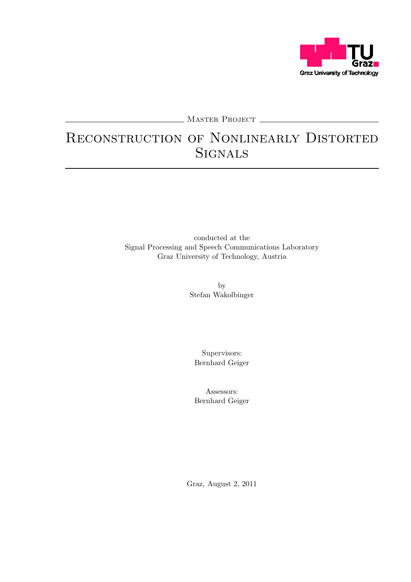

MASTER PROJECT

## Reconstruction of Nonlinearly Distorted **SIGNALS**

conducted at the Signal Processing and Speech Communications Laboratory Graz University of Technology, Austria

> by Stefan Wakolbinger

Supervisors: Bernhard Geiger

Assessors: Bernhard Geiger

Graz, August 2, 2011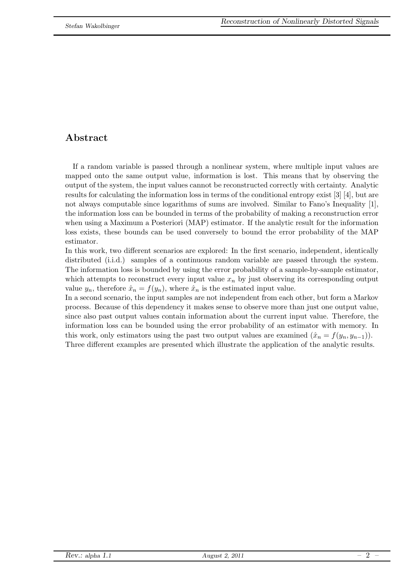### Abstract

If a random variable is passed through a nonlinear system, where multiple input values are mapped onto the same output value, information is lost. This means that by observing the output of the system, the input values cannot be reconstructed correctly with certainty. Analytic results for calculating the information loss in terms of the conditional entropy exist [3] [4], but are not always computable since logarithms of sums are involved. Similar to Fano's Inequality [1], the information loss can be bounded in terms of the probability of making a reconstruction error when using a Maximum a Posteriori (MAP) estimator. If the analytic result for the information loss exists, these bounds can be used conversely to bound the error probability of the MAP estimator.

In this work, two different scenarios are explored: In the first scenario, independent, identically distributed (i.i.d.) samples of a continuous random variable are passed through the system. The information loss is bounded by using the error probability of a sample-by-sample estimator, which attempts to reconstruct every input value  $x_n$  by just observing its corresponding output value  $y_n$ , therefore  $\hat{x}_n = f(y_n)$ , where  $\hat{x}_n$  is the estimated input value.

In a second scenario, the input samples are not independent from each other, but form a Markov process. Because of this dependency it makes sense to observe more than just one output value, since also past output values contain information about the current input value. Therefore, the information loss can be bounded using the error probability of an estimator with memory. In this work, only estimators using the past two output values are examined  $(\hat{x}_n = f(y_n, y_{n-1}))$ . Three different examples are presented which illustrate the application of the analytic results.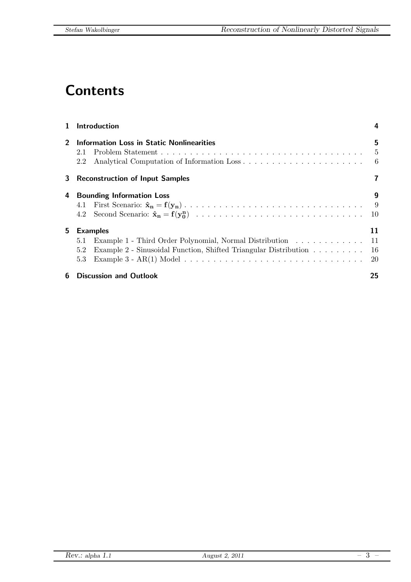# **Contents**

| $\mathbf{1}$   | Introduction                                                            |                 |
|----------------|-------------------------------------------------------------------------|-----------------|
| $\overline{2}$ | Information Loss in Static Nonlinearities<br>2.1<br>2.2                 | 5<br>- 5<br>- 6 |
| 3              | <b>Reconstruction of Input Samples</b>                                  |                 |
| 4              | <b>Bounding Information Loss</b>                                        | 9               |
|                |                                                                         | - 9             |
|                | 4.2                                                                     | 10              |
| 5.             | <b>Examples</b>                                                         | 11              |
|                | Example 1 - Third Order Polynomial, Normal Distribution 11<br>5.1       |                 |
|                | Example 2 - Sinusoidal Function, Shifted Triangular Distribution<br>5.2 | -16             |
|                | 5.3                                                                     | 20              |
| 6              | <b>Discussion and Outlook</b>                                           | 25              |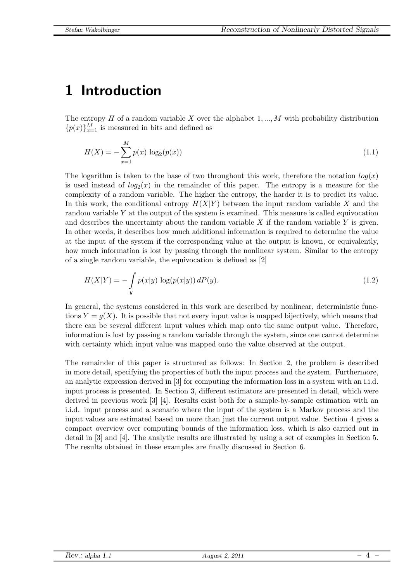# <span id="page-3-0"></span>1 Introduction

The entropy H of a random variable X over the alphabet  $1, ..., M$  with probability distribution  ${p(x)}_{x=1}^M$  is measured in bits and defined as

$$
H(X) = -\sum_{x=1}^{M} p(x) \log_2(p(x))
$$
\n(1.1)

The logarithm is taken to the base of two throughout this work, therefore the notation  $log(x)$ is used instead of  $log_2(x)$  in the remainder of this paper. The entropy is a measure for the complexity of a random variable. The higher the entropy, the harder it is to predict its value. In this work, the conditional entropy  $H(X|Y)$  between the input random variable X and the random variable  $Y$  at the output of the system is examined. This measure is called equivocation and describes the uncertainty about the random variable  $X$  if the random variable  $Y$  is given. In other words, it describes how much additional information is required to determine the value at the input of the system if the corresponding value at the output is known, or equivalently, how much information is lost by passing through the nonlinear system. Similar to the entropy of a single random variable, the equivocation is defined as [2]

$$
H(X|Y) = -\int_{y} p(x|y) \log(p(x|y)) \, dP(y). \tag{1.2}
$$

In general, the systems considered in this work are described by nonlinear, deterministic functions  $Y = g(X)$ . It is possible that not every input value is mapped bijectively, which means that there can be several different input values which map onto the same output value. Therefore, information is lost by passing a random variable through the system, since one cannot determine with certainty which input value was mapped onto the value observed at the output.

The remainder of this paper is structured as follows: In Section [2,](#page-4-0) the problem is described in more detail, specifying the properties of both the input process and the system. Furthermore, an analytic expression derived in [3] for computing the information loss in a system with an i.i.d. input process is presented. In Section [3,](#page-6-0) different estimators are presented in detail, which were derived in previous work [3] [4]. Results exist both for a sample-by-sample estimation with an i.i.d. input process and a scenario where the input of the system is a Markov process and the input values are estimated based on more than just the current output value. Section [4](#page-8-0) gives a compact overview over computing bounds of the information loss, which is also carried out in detail in [3] and [4]. The analytic results are illustrated by using a set of examples in Section [5.](#page-10-0) The results obtained in these examples are finally discussed in Section [6.](#page-24-0)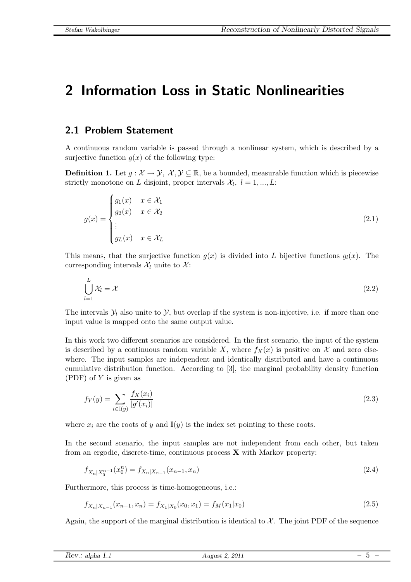### <span id="page-4-0"></span>2 Information Loss in Static Nonlinearities

### <span id="page-4-1"></span>2.1 Problem Statement

A continuous random variable is passed through a nonlinear system, which is described by a surjective function  $g(x)$  of the following type:

**Definition 1.** Let  $g: \mathcal{X} \to \mathcal{Y}, \mathcal{X}, \mathcal{Y} \subseteq \mathbb{R}$ , be a bounded, measurable function which is piecewise strictly monotone on L disjoint, proper intervals  $\mathcal{X}_l, l = 1, ..., L$ :

$$
g(x) = \begin{cases} g_1(x) & x \in \mathcal{X}_1 \\ g_2(x) & x \in \mathcal{X}_2 \\ \vdots \\ g_L(x) & x \in \mathcal{X}_L \end{cases}
$$
 (2.1)

This means, that the surjective function  $q(x)$  is divided into L bijective functions  $q_l(x)$ . The corresponding intervals  $\mathcal{X}_l$  unite to  $\mathcal{X}$ :

$$
\bigcup_{l=1}^{L} \mathcal{X}_l = \mathcal{X} \tag{2.2}
$$

The intervals  $\mathcal{Y}_l$  also unite to  $\mathcal{Y}_l$ , but overlap if the system is non-injective, i.e. if more than one input value is mapped onto the same output value.

In this work two different scenarios are considered. In the first scenario, the input of the system is described by a continuous random variable X, where  $f_X(x)$  is positive on X and zero elsewhere. The input samples are independent and identically distributed and have a continuous cumulative distribution function. According to [3], the marginal probability density function  $(PDF)$  of Y is given as

$$
f_Y(y) = \sum_{i \in \mathbb{I}(y)} \frac{f_X(x_i)}{|g'(x_i)|} \tag{2.3}
$$

where  $x_i$  are the roots of y and  $\mathbb{I}(y)$  is the index set pointing to these roots.

In the second scenario, the input samples are not independent from each other, but taken from an ergodic, discrete-time, continuous process  $X$  with Markov property:

$$
f_{X_n|X_0^{n-1}}(x_0^n) = f_{X_n|X_{n-1}}(x_{n-1},x_n)
$$
\n(2.4)

Furthermore, this process is time-homogeneous, i.e.:

$$
f_{X_n|X_{n-1}}(x_{n-1},x_n) = f_{X_1|X_0}(x_0,x_1) = f_M(x_1|x_0)
$$
\n(2.5)

Again, the support of the marginal distribution is identical to  $\mathcal{X}$ . The joint PDF of the sequence

| Rev.: al            | 2011      |                   |
|---------------------|-----------|-------------------|
| $\cdot$ alpha $1.1$ | August 2. | $\qquad \qquad -$ |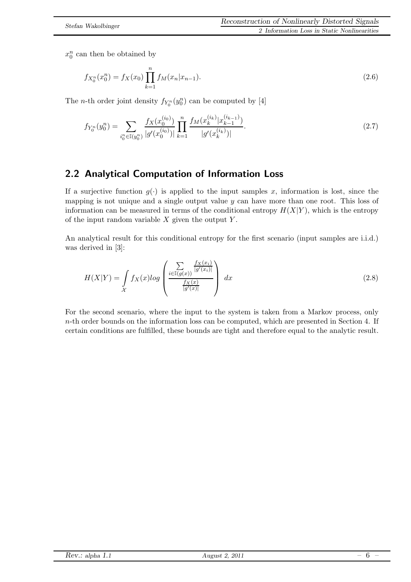$x_0^n$  can then be obtained by

$$
f_{X_0^n}(x_0^n) = f_X(x_0) \prod_{k=1}^n f_M(x_n | x_{n-1}).
$$
\n(2.6)

The *n*-th order joint density  $f_{Y_0^n}(y_0^n)$  can be computed by [4]

$$
f_{Y_0^n}(y_0^n) = \sum_{i_0^n \in \mathbb{I}(y_0^n)} \frac{f_X(x_0^{(i_0)})}{|g'(x_0^{(i_0)})|} \prod_{k=1}^n \frac{f_M(x_k^{(i_k)}|x_{k-1}^{(i_{k-1})})}{|g'(x_k^{(i_k)})|}.
$$
\n(2.7)

### <span id="page-5-0"></span>2.2 Analytical Computation of Information Loss

If a surjective function  $g(.)$  is applied to the input samples x, information is lost, since the mapping is not unique and a single output value  $y$  can have more than one root. This loss of information can be measured in terms of the conditional entropy  $H(X|Y)$ , which is the entropy of the input random variable  $X$  given the output  $Y$ .

<span id="page-5-1"></span>An analytical result for this conditional entropy for the first scenario (input samples are i.i.d.) was derived in [3]:

$$
H(X|Y) = \int\limits_{\mathcal{X}} f_X(x) \log \left( \frac{\sum\limits_{i \in \mathbb{I}(g(x))} \frac{f_X(x_i)}{|g'(x_i)|}}{\frac{f_X(x)}{|g'(x)|}} \right) dx \tag{2.8}
$$

For the second scenario, where the input to the system is taken from a Markov process, only  $n$ -th order bounds on the information loss can be computed, which are presented in Section [4.](#page-8-0) If certain conditions are fulfilled, these bounds are tight and therefore equal to the analytic result.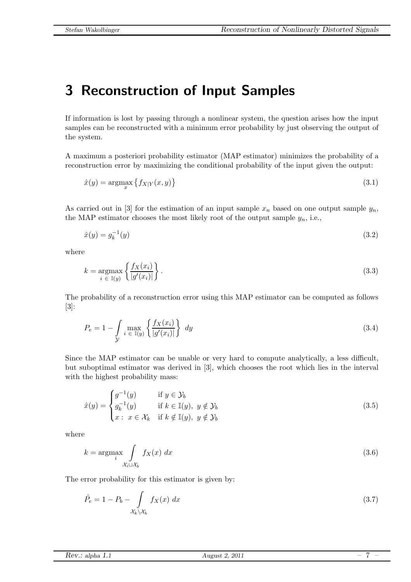# <span id="page-6-0"></span>3 Reconstruction of Input Samples

If information is lost by passing through a nonlinear system, the question arises how the input samples can be reconstructed with a minimum error probability by just observing the output of the system.

A maximum a posteriori probability estimator (MAP estimator) minimizes the probability of a reconstruction error by maximizing the conditional probability of the input given the output:

$$
\hat{x}(y) = \underset{x}{\operatorname{argmax}} \left\{ f_{X|Y}(x, y) \right\} \tag{3.1}
$$

As carried out in [3] for the estimation of an input sample  $x_n$  based on one output sample  $y_n$ , the MAP estimator chooses the most likely root of the output sample  $y_n$ , i.e.,

$$
\hat{x}(y) = g_k^{-1}(y) \tag{3.2}
$$

where

$$
k = \underset{i \in \mathbb{I}(y)}{\operatorname{argmax}} \left\{ \frac{f_X(x_i)}{|g'(x_i)|} \right\}.
$$
\n(3.3)

<span id="page-6-1"></span>The probability of a reconstruction error using this MAP estimator can be computed as follows [3]:

$$
P_e = 1 - \int\limits_{\mathcal{Y}} \max_{i \in \mathbb{I}(y)} \left\{ \frac{f_X(x_i)}{|g'(x_i)|} \right\} dy \tag{3.4}
$$

Since the MAP estimator can be unable or very hard to compute analytically, a less difficult, but suboptimal estimator was derived in [3], which chooses the root which lies in the interval with the highest probability mass:

<span id="page-6-2"></span>
$$
\hat{x}(y) = \begin{cases}\ng^{-1}(y) & \text{if } y \in \mathcal{Y}_b \\
g_k^{-1}(y) & \text{if } k \in \mathbb{I}(y), \ y \notin \mathcal{Y}_b \\
x: \ x \in \mathcal{X}_k & \text{if } k \notin \mathbb{I}(y), \ y \notin \mathcal{Y}_b\n\end{cases}
$$
\n(3.5)

where

$$
k = \underset{\mathcal{X}_i \cup \mathcal{X}_b}{\operatorname{argmax}} \int_{\mathcal{X}_i \cup \mathcal{X}_b} f_X(x) \, dx \tag{3.6}
$$

The error probability for this estimator is given by:

<span id="page-6-3"></span>
$$
\hat{P}_e = 1 - P_b - \int_{\mathcal{X}_k \backslash \mathcal{X}_b} f_X(x) dx \tag{3.7}
$$

| Rev.:<br>alpha<br><b>***</b><br>$- - - - -$ | $2011\,$<br>August<br>-<br>$\sim$ | $\overline{\phantom{a}}$<br>$\overline{\phantom{a}}$ |
|---------------------------------------------|-----------------------------------|------------------------------------------------------|
|                                             |                                   |                                                      |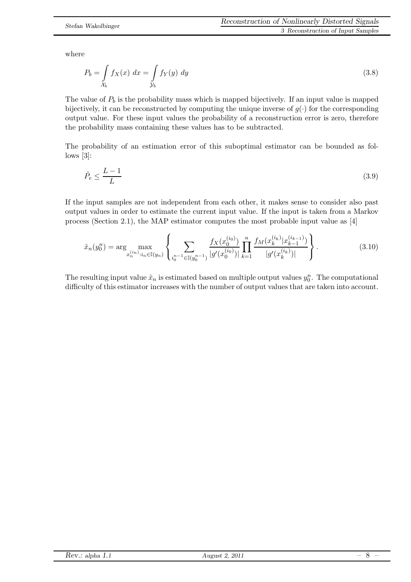<span id="page-7-0"></span>where

$$
P_b = \int_{\mathcal{X}_b} f_X(x) dx = \int_{\mathcal{Y}_b} f_Y(y) dy
$$
\n(3.8)

The value of  $P_b$  is the probability mass which is mapped bijectively. If an input value is mapped bijectively, it can be reconstructed by computing the unique inverse of  $g(\cdot)$  for the corresponding output value. For these input values the probability of a reconstruction error is zero, therefore the probability mass containing these values has to be subtracted.

The probability of an estimation error of this suboptimal estimator can be bounded as fol $lows [3]:$ 

$$
\hat{P}_e \le \frac{L-1}{L} \tag{3.9}
$$

If the input samples are not independent from each other, it makes sense to consider also past output values in order to estimate the current input value. If the input is taken from a Markov process (Section [2.1\)](#page-4-1), the MAP estimator computes the most probable input value as [4]

$$
\hat{x}_n(y_0^n) = \arg\max_{x_n^{(i_n)}: i_n \in \mathbb{I}(y_n)} \left\{ \sum_{i_0^{n-1} \in \mathbb{I}(y_0^{n-1})} \frac{f_X(x_0^{(i_0)})}{|g'(x_0^{(i_0)})|} \prod_{k=1}^n \frac{f_M(x_k^{(i_k)}|x_{k-1}^{(i_{k-1})})}{|g'(x_k^{(i_k)})|} \right\}.
$$
\n(3.10)

The resulting input value  $\hat{x}_n$  is estimated based on multiple output values  $y_0^n$ . The computational difficulty of this estimator increases with the number of output values that are taken into account.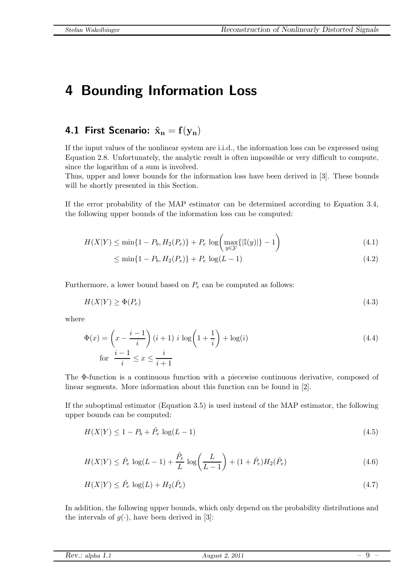## <span id="page-8-0"></span>4 Bounding Information Loss

### <span id="page-8-1"></span>4.1 First Scenario:  $\hat{\mathbf{x}}_n = \mathbf{f}(\mathbf{y}_n)$

If the input values of the nonlinear system are i.i.d., the information loss can be expressed using Equation [2.8.](#page-5-1) Unfortunately, the analytic result is often impossible or very difficult to compute, since the logarithm of a sum is involved.

Thus, upper and lower bounds for the information loss have been derived in [3]. These bounds will be shortly presented in this Section.

If the error probability of the MAP estimator can be determined according to Equation [3.4,](#page-6-1) the following upper bounds of the information loss can be computed:

$$
H(X|Y) \le \min\{1 - P_b, H_2(P_e)\} + P_e \log\left(\max_{y \in \mathcal{Y}}\{\left|\mathbb{I}(y)\right|\} - 1\right) \tag{4.1}
$$

<span id="page-8-6"></span><span id="page-8-5"></span>
$$
\leq \min\{1 - P_b, H_2(P_e)\} + P_e \log(L - 1) \tag{4.2}
$$

Furthermore, a lower bound based on  $P_e$  can be computed as follows:

$$
H(X|Y) \ge \Phi(P_e) \tag{4.3}
$$

where

$$
\Phi(x) = \left(x - \frac{i-1}{i}\right)(i+1) i \log\left(1 + \frac{1}{i}\right) + \log(i)
$$
\n
$$
\text{for } \frac{i-1}{i} \le x \le \frac{i}{i+1}
$$
\n(4.4)

The Φ-function is a continuous function with a piecewise continuous derivative, composed of linear segments. More information about this function can be found in [2].

<span id="page-8-3"></span>If the suboptimal estimator (Equation [3.5\)](#page-6-2) is used instead of the MAP estimator, the following upper bounds can be computed:

<span id="page-8-2"></span>
$$
H(X|Y) \le 1 - P_b + \hat{P}_e \log(L - 1) \tag{4.5}
$$

$$
H(X|Y) \le \hat{P}_e \log(L-1) + \frac{\hat{P}_e}{L} \log\left(\frac{L}{L-1}\right) + (1+\hat{P}_e)H_2(\hat{P}_e)
$$
\n(4.6)

$$
H(X|Y) \le \hat{P}_e \log(L) + H_2(\hat{P}_e) \tag{4.7}
$$

<span id="page-8-4"></span>In addition, the following upper bounds, which only depend on the probability distributions and the intervals of  $g(\cdot)$ , have been derived in [3]:

| Rev.: alpha 1.1 | , 2011<br>August<br>بمدد |  |
|-----------------|--------------------------|--|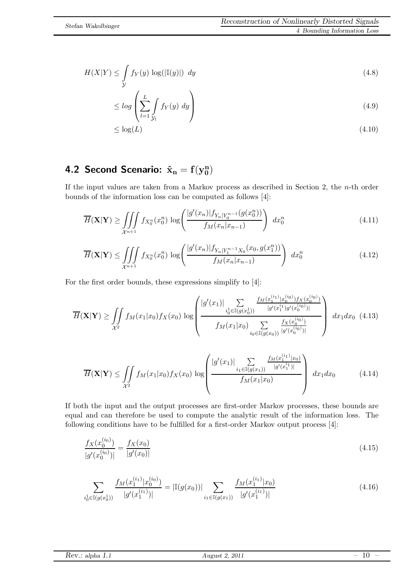$$
H(X|Y) \le \int_{\mathcal{Y}} f_Y(y) \, \log(|\mathbb{I}(y)|) \, dy \tag{4.8}
$$

<span id="page-9-1"></span>
$$
\leq \log \left( \sum_{l=1}^{L} \int_{\mathcal{Y}_l} f_Y(y) \, dy \right) \tag{4.9}
$$

$$
\leq \log(L) \tag{4.10}
$$

#### <span id="page-9-0"></span>4.2 Second Scenario:  $\hat{\mathbf{x}}_{n} = \mathbf{f}(\mathbf{y}_{0}^{n})$  $\begin{smallmatrix} \mathbf{n}\ 0 \end{smallmatrix}$

If the input values are taken from a Markov process as described in Section [2,](#page-4-0) the n-th order bounds of the information loss can be computed as follows [4]:

$$
\overline{H}(\mathbf{X}|\mathbf{Y}) \ge \iiint\limits_{\mathcal{X}^{n+1}} f_{X_0^n}(x_0^n) \log \left( \frac{|g'(x_n)| f_{Y_n|Y_0^{n-1}}(g(x_0^n))}{f_M(x_n|x_{n-1})} \right) dx_0^n \tag{4.11}
$$

<span id="page-9-5"></span>
$$
\overline{H}(\mathbf{X}|\mathbf{Y}) \le \iiint\limits_{\mathcal{X}^{n+1}} f_{X_0^n}(x_0^n) \log \left( \frac{|g'(x_n)| f_{Y_n|Y_1^{n-1}X_0}(x_0, g(x_1^n))}{f_M(x_n|x_{n-1})} \right) dx_0^n \tag{4.12}
$$

For the first order bounds, these expressions simplify to [4]:

$$
\overline{H}(\mathbf{X}|\mathbf{Y}) \ge \iint\limits_{\mathcal{X}^2} f_M(x_1|x_0) f_X(x_0) \log \left( \frac{|g'(x_1)| \sum\limits_{i_0 \in \mathbb{I}(g(x_0))} \frac{f_M(x_1^{(i_1)}|x_0^{(i_0)}) f_X(x_0^{(i_0)})}{|g'(x_1^{(i_1})g'(x_0^{(i_0)})|}}{f_M(x_1|x_0) \sum\limits_{i_0 \in \mathbb{I}(g(x_0))} \frac{f_X(x_0^{(i_0)})}{|g'(x_0^{(i_0)})|}} \right) dx_1 dx_0 \tag{4.13}
$$

<span id="page-9-2"></span>
$$
\overline{H}(\mathbf{X}|\mathbf{Y}) \le \iint\limits_{\mathcal{X}^2} f_M(x_1|x_0) f_X(x_0) \log \left( \frac{|g'(x_1)| \sum\limits_{i_1 \in \mathbb{I}(g(x_1))} \frac{f_M(x_1^{(i_1)}|x_0)}{|g'(x_1^{i_1})|}}{f_M(x_1|x_0)} \right) dx_1 dx_0 \tag{4.14}
$$

If both the input and the output processes are first-order Markov processes, these bounds are equal and can therefore be used to compute the analytic result of the information loss. The following conditions have to be fulfilled for a first-order Markov output process [4]:

$$
\frac{f_X(x_0^{(i_0)})}{|g'(x_0^{(i_0)})|} = \frac{f_X(x_0)}{|g'(x_0)|}
$$
\n(4.15)

<span id="page-9-4"></span>
$$
\sum_{i_0^1 \in \mathbb{I}(g(x_0^1))} \frac{f_M(x_1^{(i_1)} | x_0^{(i_0)})}{|g'(x_1^{(i_1)})|} = |\mathbb{I}(g(x_0))| \sum_{i_1 \in \mathbb{I}(g(x_1))} \frac{f_M(x_1^{(i_1)} | x_0)}{|g'(x_1^{(i_1)})|}
$$
(4.16)

*Rev.:* alpha *1.*1 August 2, 2011 *–* 10 *–*

<span id="page-9-3"></span>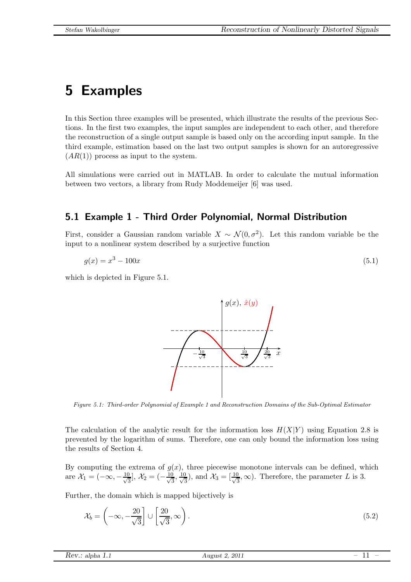# <span id="page-10-0"></span>5 Examples

In this Section three examples will be presented, which illustrate the results of the previous Sections. In the first two examples, the input samples are independent to each other, and therefore the reconstruction of a single output sample is based only on the according input sample. In the third example, estimation based on the last two output samples is shown for an autoregressive  $(AR(1))$  process as input to the system.

All simulations were carried out in MATLAB. In order to calculate the mutual information between two vectors, a library from Rudy Moddemeijer [6] was used.

### <span id="page-10-1"></span>5.1 Example 1 - Third Order Polynomial, Normal Distribution

First, consider a Gaussian random variable  $X \sim \mathcal{N}(0, \sigma^2)$ . Let this random variable be the input to a nonlinear system described by a surjective function

$$
g(x) = x^3 - 100x\tag{5.1}
$$

which is depicted in Figure [5.1.](#page-10-2)



<span id="page-10-2"></span>*Figure 5.1: Third-order Polynomial of Example 1 and Reconstruction Domains of the Sub-Optimal Estimator*

The calculation of the analytic result for the information loss  $H(X|Y)$  using Equation [2.8](#page-5-1) is prevented by the logarithm of sums. Therefore, one can only bound the information loss using the results of Section [4.](#page-8-0)

By computing the extrema of  $g(x)$ , three piecewise monotone intervals can be defined, which are  $\mathcal{X}_1 = (-\infty, -\frac{10}{\sqrt{3}}]$  $\frac{1}{3}$ ],  $\mathcal{X}_2 = (-\frac{10}{\sqrt{3}})$  $\frac{0}{3}, \frac{10}{\sqrt{5}}$  $\frac{1}{3}$ ), and  $\mathcal{X}_3 = \left[\frac{10}{\sqrt{3}}\right]$  $\frac{3}{3}, \infty$ ). Therefore, the parameter L is 3.

Further, the domain which is mapped bijectively is

$$
\mathcal{X}_b = \left( -\infty, -\frac{20}{\sqrt{3}} \right] \cup \left[ \frac{20}{\sqrt{3}}, \infty \right). \tag{5.2}
$$

| Rev.: alpha 1.1<br>2011<br>August 2 |
|-------------------------------------|
|                                     |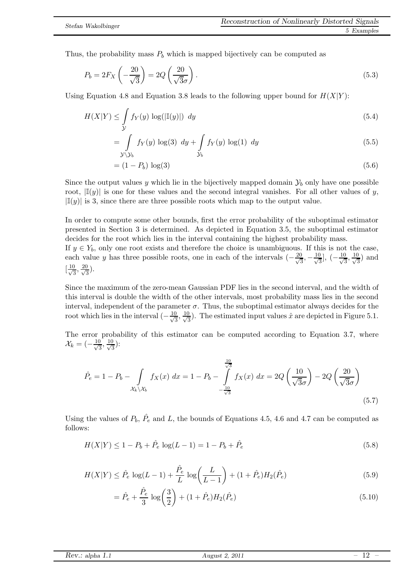Thus, the probability mass  $P_b$  which is mapped bijectively can be computed as

$$
P_b = 2F_X \left(-\frac{20}{\sqrt{3}}\right) = 2Q \left(\frac{20}{\sqrt{3}\sigma}\right). \tag{5.3}
$$

Using Equation [4.8](#page-9-1) and Equation [3.8](#page-7-0) leads to the following upper bound for  $H(X|Y)$ :

$$
H(X|Y) \le \int_{\mathcal{Y}} f_Y(y) \log(|\mathbb{I}(y)|) \ dy \tag{5.4}
$$

$$
= \int\limits_{\mathcal{Y}\backslash\mathcal{Y}_b} f_Y(y) \log(3) \, dy + \int\limits_{\mathcal{Y}_b} f_Y(y) \log(1) \, dy \tag{5.5}
$$

$$
= (1 - P_b) \log(3) \tag{5.6}
$$

Since the output values y which lie in the bijectively mapped domain  $\mathcal{Y}_b$  only have one possible root,  $|\mathbb{I}(y)|$  is one for these values and the second integral vanishes. For all other values of y,  $|\mathbb{I}(y)|$  is 3, since there are three possible roots which map to the output value.

In order to compute some other bounds, first the error probability of the suboptimal estimator presented in Section [3](#page-6-0) is determined. As depicted in Equation [3.5,](#page-6-2) the suboptimal estimator decides for the root which lies in the interval containing the highest probability mass.

If  $y \in Y_b$ , only one root exists and therefore the choice is unambiguous. If this is not the case, each value y has three possible roots, one in each of the intervals  $\left(-\frac{20}{\sqrt{3}}\right)$  $\frac{0}{3}, -\frac{10}{\sqrt{3}}$  $\frac{1}{3}$ , ( $-\frac{10}{\sqrt{3}}$  $\frac{0}{3}, \frac{10}{\sqrt{5}}$  $\frac{1}{3}$ ) and  $\left[\frac{10}{\sqrt{5}}\right]$  $\frac{0}{3}, \frac{20}{\sqrt{3}}$  $\frac{1}{3}$ ).

Since the maximum of the zero-mean Gaussian PDF lies in the second interval, and the width of this interval is double the width of the other intervals, most probability mass lies in the second interval, independent of the parameter  $\sigma$ . Thus, the suboptimal estimator always decides for the root which lies in the interval  $\left(-\frac{10}{\sqrt{3}}\right)$  $\frac{1}{3}, \frac{10}{\sqrt{5}}$  $\frac{3}{3}$ ). The estimated input values  $\hat{x}$  are depicted in Figure [5.1.](#page-10-2)

The error probability of this estimator can be computed according to Equation [3.7,](#page-6-3) where  $\mathcal{X}_k=(-\frac{10}{\sqrt{5}}$  $\frac{1}{3}, \frac{10}{\sqrt{5}}$  $(\frac{1}{3})$ :

$$
\hat{P}_e = 1 - P_b - \int_{\mathcal{X}_k \setminus \mathcal{X}_b} f_X(x) \, dx = 1 - P_b - \int_{-\frac{10}{\sqrt{3}}}^{\frac{10}{\sqrt{3}}} f_X(x) \, dx = 2Q \left(\frac{10}{\sqrt{3}\sigma}\right) - 2Q \left(\frac{20}{\sqrt{3}\sigma}\right)
$$
\n(5.7)

Using the values of  $P_b$ ,  $\hat{P}_e$  and L, the bounds of Equations [4.5,](#page-8-2) [4.6](#page-8-3) and [4.7](#page-8-4) can be computed as follows:

$$
H(X|Y) \le 1 - P_b + \hat{P}_e \log(L - 1) = 1 - P_b + \hat{P}_e \tag{5.8}
$$

$$
H(X|Y) \le \hat{P}_e \log(L-1) + \frac{\hat{P}_e}{L} \log\left(\frac{L}{L-1}\right) + (1+\hat{P}_e)H_2(\hat{P}_e)
$$
\n(5.9)

$$
= \hat{P}_e + \frac{\hat{P}_e}{3} \log\left(\frac{3}{2}\right) + (1 + \hat{P}_e)H_2(\hat{P}_e)
$$
\n(5.10)

|  | Rev.: alpha 1.1 |
|--|-----------------|
|--|-----------------|

*August 2, 2011* – 12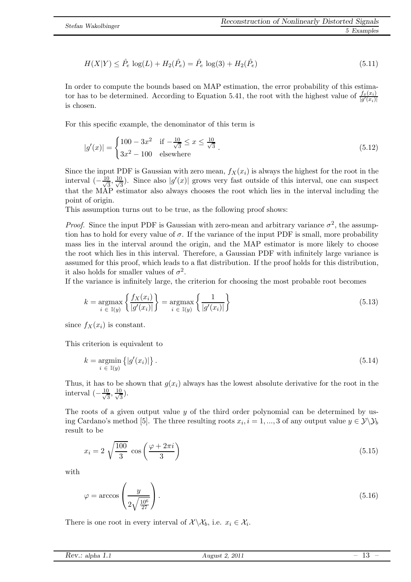$$
H(X|Y) \le \hat{P}_e \log(L) + H_2(\hat{P}_e) = \hat{P}_e \log(3) + H_2(\hat{P}_e)
$$
\n(5.11)

In order to compute the bounds based on MAP estimation, the error probability of this estima-tor has to be determined. According to Equation [5.41,](#page-18-0) the root with the highest value of  $\frac{f_x(x_i)}{|g'(x_i)|}$ is chosen.

For this specific example, the denominator of this term is

<span id="page-12-0"></span>
$$
|g'(x)| = \begin{cases} 100 - 3x^2 & \text{if } -\frac{10}{\sqrt{3}} \le x \le \frac{10}{\sqrt{3}} \\ 3x^2 - 100 & \text{elsewhere} \end{cases}
$$
 (5.12)

Since the input PDF is Gaussian with zero mean,  $f_X(x_i)$  is always the highest for the root in the interval  $\left(-\frac{10}{\sqrt{3}}\right)$  $\frac{1}{3}, \frac{10}{\sqrt{5}}$  $\frac{3}{3}$ ). Since also  $|g'(x)|$  grows very fast outside of this interval, one can suspect that the MAP estimator also always chooses the root which lies in the interval including the point of origin.

This assumption turns out to be true, as the following proof shows:

*Proof.* Since the input PDF is Gaussian with zero-mean and arbitrary variance  $\sigma^2$ , the assumption has to hold for every value of  $\sigma$ . If the variance of the input PDF is small, more probability mass lies in the interval around the origin, and the MAP estimator is more likely to choose the root which lies in this interval. Therefore, a Gaussian PDF with infinitely large variance is assumed for this proof, which leads to a flat distribution. If the proof holds for this distribution, it also holds for smaller values of  $\sigma^2$ .

If the variance is infinitely large, the criterion for choosing the most probable root becomes

$$
k = \underset{i \in \mathbb{I}(y)}{\operatorname{argmax}} \left\{ \frac{f_X(x_i)}{|g'(x_i)|} \right\} = \underset{i \in \mathbb{I}(y)}{\operatorname{argmax}} \left\{ \frac{1}{|g'(x_i)|} \right\} \tag{5.13}
$$

since  $f_X(x_i)$  is constant.

This criterion is equivalent to

$$
k = \underset{i \in I(y)}{\operatorname{argmin}} \left\{ |g'(x_i)| \right\}.
$$
\n
$$
(5.14)
$$

Thus, it has to be shown that  $g(x_i)$  always has the lowest absolute derivative for the root in the interval  $\left(-\frac{10}{\sqrt{3}}\right)$  $\frac{1}{3}, \frac{10}{\sqrt{5}}$  $\frac{1}{3}$ ).

<span id="page-12-1"></span>The roots of a given output value  $y$  of the third order polynomial can be determined by using Cardano's method [5]. The three resulting roots  $x_i$ ,  $i = 1, ..., 3$  of any output value  $y \in \mathcal{Y} \backslash \mathcal{Y}_b$ result to be

$$
x_i = 2\sqrt{\frac{100}{3}}\cos\left(\frac{\varphi + 2\pi i}{3}\right) \tag{5.15}
$$

with

$$
\varphi = \arccos\left(\frac{y}{2\sqrt{\frac{10^6}{27}}}\right). \tag{5.16}
$$

There is one root in every interval of  $\mathcal{X}\setminus\mathcal{X}_b$ , i.e.  $x_i \in \mathcal{X}_i$ .

| Rev.:<br>alpha<br>1.1 L.1 | 2011<br>August <sup>9</sup> | ΨŰ |
|---------------------------|-----------------------------|----|
|                           |                             |    |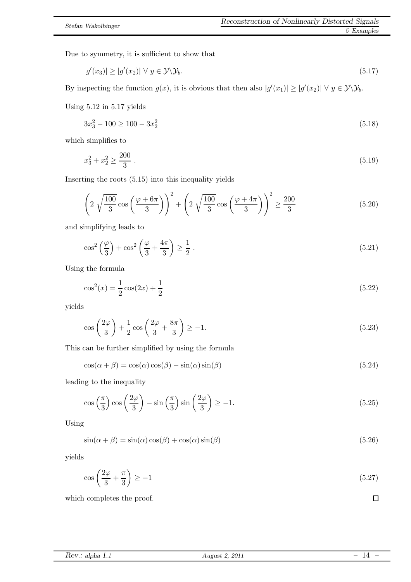Due to symmetry, it is sufficient to show that

<span id="page-13-0"></span>
$$
|g'(x_3)| \ge |g'(x_2)| \forall y \in \mathcal{Y} \backslash \mathcal{Y}_b. \tag{5.17}
$$

By inspecting the function  $g(x)$ , it is obvious that then also  $|g'(x_1)| \ge |g'(x_2)| \forall y \in \mathcal{Y} \setminus \mathcal{Y}_b$ .

Using [5.12](#page-12-0) in [5.17](#page-13-0) yields

$$
3x_3^2 - 100 \ge 100 - 3x_2^2 \tag{5.18}
$$

which simplifies to

$$
x_3^2 + x_2^2 \ge \frac{200}{3} \tag{5.19}
$$

Inserting the roots [\(5.15\)](#page-12-1) into this inequality yields

$$
\left(2\sqrt{\frac{100}{3}}\cos\left(\frac{\varphi+6\pi}{3}\right)\right)^2 + \left(2\sqrt{\frac{100}{3}}\cos\left(\frac{\varphi+4\pi}{3}\right)\right)^2 \ge \frac{200}{3} \tag{5.20}
$$

and simplifying leads to

$$
\cos^2\left(\frac{\varphi}{3}\right) + \cos^2\left(\frac{\varphi}{3} + \frac{4\pi}{3}\right) \ge \frac{1}{2} \tag{5.21}
$$

Using the formula

$$
\cos^2(x) = \frac{1}{2}\cos(2x) + \frac{1}{2}
$$
\n(5.22)

yields

$$
\cos\left(\frac{2\varphi}{3}\right) + \frac{1}{2}\cos\left(\frac{2\varphi}{3} + \frac{8\pi}{3}\right) \ge -1.
$$
\n(5.23)

This can be further simplified by using the formula

$$
\cos(\alpha + \beta) = \cos(\alpha)\cos(\beta) - \sin(\alpha)\sin(\beta)
$$
\n(5.24)

leading to the inequality

$$
\cos\left(\frac{\pi}{3}\right)\cos\left(\frac{2\varphi}{3}\right) - \sin\left(\frac{\pi}{3}\right)\sin\left(\frac{2\varphi}{3}\right) \ge -1.\tag{5.25}
$$

Using

$$
\sin(\alpha + \beta) = \sin(\alpha)\cos(\beta) + \cos(\alpha)\sin(\beta)
$$
\n(5.26)

yields

$$
\cos\left(\frac{2\varphi}{3} + \frac{\pi}{3}\right) \ge -1\tag{5.27}
$$

which completes the proof.

|  | Rev.: alpha 1.1 |
|--|-----------------|
|--|-----------------|

 $\Box$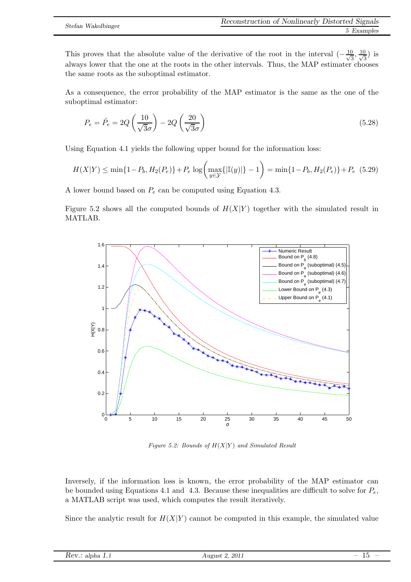This proves that the absolute value of the derivative of the root in the interval  $\left(-\frac{10}{\sqrt{3}}\right)$  $\frac{1}{3}$ ,  $\frac{10}{\sqrt{5}}$  $(\frac{1}{3})$  is always lower that the one at the roots in the other intervals. Thus, the MAP estimater chooses the same roots as the suboptimal estimator.

As a consequence, the error probability of the MAP estimator is the same as the one of the suboptimal estimator:

$$
P_e = \hat{P}_e = 2Q\left(\frac{10}{\sqrt{3}\sigma}\right) - 2Q\left(\frac{20}{\sqrt{3}\sigma}\right) \tag{5.28}
$$

Using Equation [4.1](#page-8-5) yields the following upper bound for the information loss:

$$
H(X|Y) \le \min\{1 - P_b, H_2(P_e)\} + P_e \log\left(\max_{y \in \mathcal{Y}}\{|\mathbb{I}(y)|\} - 1\right) = \min\{1 - P_b, H_2(P_e)\} + P_e \tag{5.29}
$$

A lower bound based on  $P_e$  can be computed using Equation [4.3.](#page-8-6)

Figure [5.2](#page-14-0) shows all the computed bounds of  $H(X|Y)$  together with the simulated result in MATLAB.



<span id="page-14-0"></span>*Figure 5.2: Bounds of* H(X|Y ) *and Simulated Result*

Inversely, if the information loss is known, the error probability of the MAP estimator can be bounded using Equations [4.1](#page-8-5) and [4.3.](#page-8-6) Because these inequalities are difficult to solve for  $P_e$ , a MATLAB script was used, which computes the result iteratively.

Since the analytic result for  $H(X|Y)$  cannot be computed in this example, the simulated value

| 2011<br>5.617<br>11 0°11 C<br>$\cdot$ $\sim$<br>$\overline{\phantom{a}}$<br>анрна<br>_<br>$100v$ alpha $1.1$<br>.<br>2011<br>∸<br>$\sim$ |  |
|------------------------------------------------------------------------------------------------------------------------------------------|--|
|------------------------------------------------------------------------------------------------------------------------------------------|--|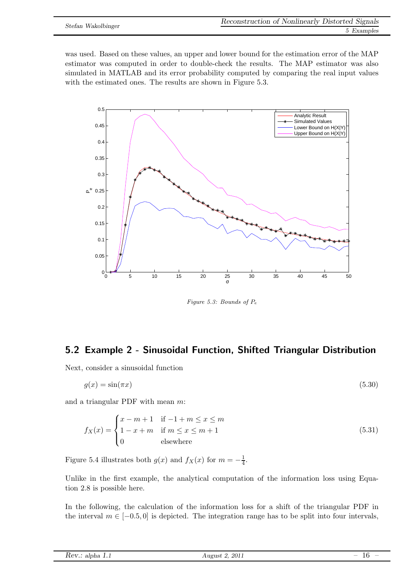was used. Based on these values, an upper and lower bound for the estimation error of the MAP estimator was computed in order to double-check the results. The MAP estimator was also simulated in MATLAB and its error probability computed by comparing the real input values with the estimated ones. The results are shown in Figure [5.3.](#page-15-1)



<span id="page-15-1"></span>*Figure 5.3: Bounds of* P<sup>e</sup>

### <span id="page-15-0"></span>5.2 Example 2 - Sinusoidal Function, Shifted Triangular Distribution

Next, consider a sinusoidal function

$$
g(x) = \sin(\pi x) \tag{5.30}
$$

and a triangular PDF with mean m:

$$
f_X(x) = \begin{cases} x - m + 1 & \text{if } -1 + m \le x \le m \\ 1 - x + m & \text{if } m \le x \le m + 1 \\ 0 & \text{elsewhere} \end{cases} \tag{5.31}
$$

Figure [5.4](#page-16-0) illustrates both  $g(x)$  and  $f_X(x)$  for  $m = -\frac{1}{4}$  $\frac{1}{4}$ .

Unlike in the first example, the analytical computation of the information loss using Equation [2.8](#page-5-1) is possible here.

In the following, the calculation of the information loss for a shift of the triangular PDF in the interval  $m \in [-0.5, 0]$  is depicted. The integration range has to be split into four intervals,

| Rev.: alpha 1.1 |  |  |  |
|-----------------|--|--|--|
|-----------------|--|--|--|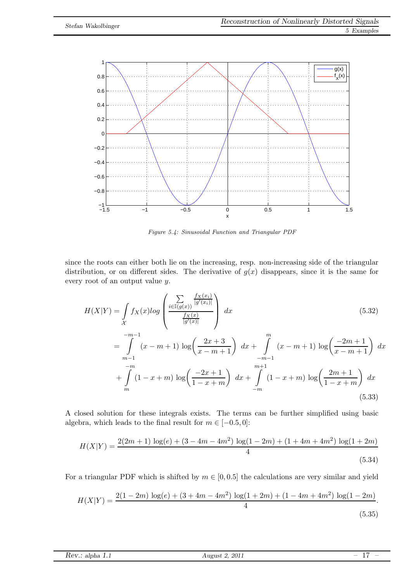

<span id="page-16-0"></span>*Figure 5.4: Sinusoidal Function and Triangular PDF*

since the roots can either both lie on the increasing, resp. non-increasing side of the triangular distribution, or on different sides. The derivative of  $g(x)$  disappears, since it is the same for every root of an output value y.

$$
H(X|Y) = \int_{\mathcal{X}} f_X(x) \log \left( \frac{\sum_{i \in \mathbb{I}(g(x))} \frac{f_X(x_i)}{|g'(x_i)|}}{\frac{f_X(x)}{|g'(x)|}} \right) dx \qquad (5.32)
$$
  
\n
$$
= \int_{m-1}^{-m-1} (x - m + 1) \log \left( \frac{2x + 3}{x - m + 1} \right) dx + \int_{-m-1}^{m} (x - m + 1) \log \left( \frac{-2m + 1}{x - m + 1} \right) dx
$$
  
\n
$$
+ \int_{m}^{-m} (1 - x + m) \log \left( \frac{-2x + 1}{1 - x + m} \right) dx + \int_{-m}^{m+1} (1 - x + m) \log \left( \frac{2m + 1}{1 - x + m} \right) dx
$$
  
\n(5.33)

A closed solution for these integrals exists. The terms can be further simplified using basic algebra, which leads to the final result for  $m \in [-0.5, 0]$ :

$$
H(X|Y) = \frac{2(2m+1)\log(e) + (3-4m-4m^2)\log(1-2m) + (1+4m+4m^2)\log(1+2m)}{4}
$$
\n(5.34)

For a triangular PDF which is shifted by  $m \in [0, 0.5]$  the calculations are very similar and yield

$$
H(X|Y) = \frac{2(1-2m)\log(e) + (3+4m-4m^2)\log(1+2m) + (1-4m+4m^2)\log(1-2m)}{4}.
$$
\n(5.35)

| Rev.:<br>alpha<br>$\mathcal{A}$ $\mathcal{A}$ $\mathcal{A}$ $\mathcal{A}$<br>$-$ | $2011\,$<br>ugust<br>Aug<br>___ | $\overline{\phantom{a}}$<br>$\overline{\phantom{a}}$<br>-- |
|----------------------------------------------------------------------------------|---------------------------------|------------------------------------------------------------|
|                                                                                  |                                 |                                                            |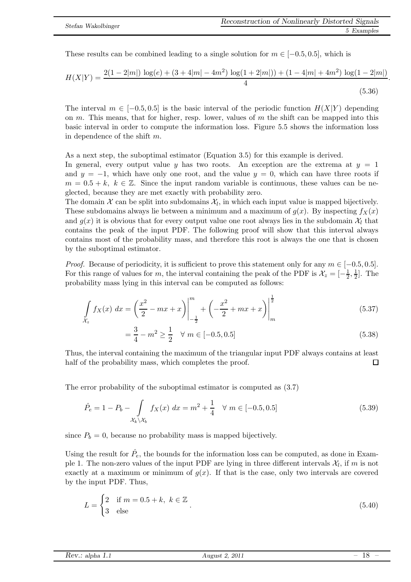.

These results can be combined leading to a single solution for  $m \in [-0.5, 0.5]$ , which is

$$
H(X|Y) = \frac{2(1 - 2|m|) \log(e) + (3 + 4|m| - 4m^2) \log(1 + 2|m|) + (1 - 4|m| + 4m^2) \log(1 - 2|m|)}{4}
$$
\n(5.36)

The interval  $m \in [-0.5, 0.5]$  is the basic interval of the periodic function  $H(X|Y)$  depending on m. This means, that for higher, resp. lower, values of m the shift can be mapped into this basic interval in order to compute the information loss. Figure [5.5](#page-18-1) shows the information loss in dependence of the shift m.

As a next step, the suboptimal estimator (Equation [3.5\)](#page-6-2) for this example is derived.

In general, every output value y has two roots. An exception are the extrema at  $y = 1$ and  $y = -1$ , which have only one root, and the value  $y = 0$ , which can have three roots if  $m = 0.5 + k, k \in \mathbb{Z}$ . Since the input random variable is continuous, these values can be neglected, because they are met exactly with probability zero.

The domain  $\mathcal X$  can be split into subdomains  $\mathcal X_l$ , in which each input value is mapped bijectively. These subdomains always lie between a minimum and a maximum of  $g(x)$ . By inspecting  $f_X(x)$ and  $g(x)$  it is obvious that for every output value one root always lies in the subdomain  $\mathcal{X}_l$  that contains the peak of the input PDF. The following proof will show that this interval always contains most of the probability mass, and therefore this root is always the one that is chosen by the suboptimal estimator.

*Proof.* Because of periodicity, it is sufficient to prove this statement only for any  $m \in [-0.5, 0.5]$ . For this range of values for m, the interval containing the peak of the PDF is  $\mathcal{X}_z = \begin{bmatrix} -\frac{1}{2} \end{bmatrix}$  $\frac{1}{2}, \frac{1}{2}$  $\frac{1}{2}$ . The probability mass lying in this interval can be computed as follows:

$$
\int_{\mathcal{X}_z} f_X(x) \, dx = \left(\frac{x^2}{2} - mx + x\right)\Big|_{-\frac{1}{2}}^m + \left(-\frac{x^2}{2} + mx + x\right)\Big|_{m}^{\frac{1}{2}} \tag{5.37}
$$

$$
= \frac{3}{4} - m^2 \ge \frac{1}{2} \quad \forall \ m \in [-0.5, 0.5] \tag{5.38}
$$

Thus, the interval containing the maximum of the triangular input PDF always contains at least half of the probability mass, which completes the proof.  $\Box$ 

The error probability of the suboptimal estimator is computed as [\(3.7\)](#page-6-3)

$$
\hat{P}_e = 1 - P_b - \int_{\mathcal{X}_k \backslash \mathcal{X}_b} f_X(x) \, dx = m^2 + \frac{1}{4} \quad \forall \ m \in [-0.5, 0.5]
$$
\n
$$
(5.39)
$$

since  $P_b = 0$ , because no probability mass is mapped bijectively.

Using the result for  $\hat{P}_e$ , the bounds for the information loss can be computed, as done in Example 1. The non-zero values of the input PDF are lying in three different intervals  $\mathcal{X}_l$ , if m is not exactly at a maximum or minimum of  $g(x)$ . If that is the case, only two intervals are covered by the input PDF. Thus,

$$
L = \begin{cases} 2 & \text{if } m = 0.5 + k, \ k \in \mathbb{Z} \\ 3 & \text{else} \end{cases} \tag{5.40}
$$

| 2011<br>Rev.:<br>August '<br>alpha 1.1 <sup>.</sup> | $\hspace{0.1mm}-\hspace{0.1mm}$<br>$\overline{\phantom{a}}$<br>∸∽ |
|-----------------------------------------------------|-------------------------------------------------------------------|
|-----------------------------------------------------|-------------------------------------------------------------------|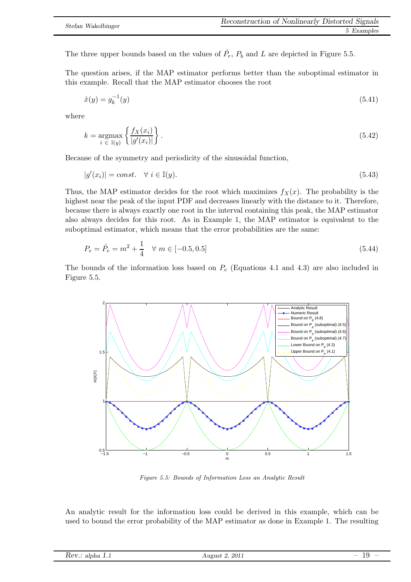The three upper bounds based on the values of  $\hat{P}_e$ ,  $P_b$  and L are depicted in Figure [5.5.](#page-18-1)

The question arises, if the MAP estimator performs better than the suboptimal estimator in this example. Recall that the MAP estimator chooses the root

<span id="page-18-0"></span>
$$
\hat{x}(y) = g_k^{-1}(y) \tag{5.41}
$$

where

$$
k = \underset{i \in I(y)}{\operatorname{argmax}} \left\{ \frac{f_X(x_i)}{|g'(x_i)|} \right\}.
$$
\n(5.42)

Because of the symmetry and periodicity of the sinusoidal function,

$$
|g'(x_i)| = const. \quad \forall \ i \in \mathbb{I}(y). \tag{5.43}
$$

Thus, the MAP estimator decides for the root which maximizes  $f_X(x)$ . The probability is the highest near the peak of the input PDF and decreases linearly with the distance to it. Therefore, because there is always exactly one root in the interval containing this peak, the MAP estimator also always decides for this root. As in Example 1, the MAP estimator is equivalent to the suboptimal estimator, which means that the error probabilities are the same:

$$
P_e = \hat{P}_e = m^2 + \frac{1}{4} \quad \forall \ m \in [-0.5, 0.5]
$$
\n
$$
(5.44)
$$

The bounds of the information loss based on  $P_e$  (Equations [4.1](#page-8-5) and [4.3\)](#page-8-6) are also included in Figure [5.5.](#page-18-1)



<span id="page-18-1"></span>*Figure 5.5: Bounds of Information Loss an Analytic Result*

An analytic result for the information loss could be derived in this example, which can be used to bound the error probability of the MAP estimator as done in Example 1. The resulting

| 2011<br>5.617<br>11 <i>0</i> 11S<br>、わっ<br>$\overline{\phantom{a}}$<br>анрна<br>$\cdots$<br>_<br>$100v$ alpha $1.1$<br>2011<br>∸<br>_ |  |  |
|---------------------------------------------------------------------------------------------------------------------------------------|--|--|
|---------------------------------------------------------------------------------------------------------------------------------------|--|--|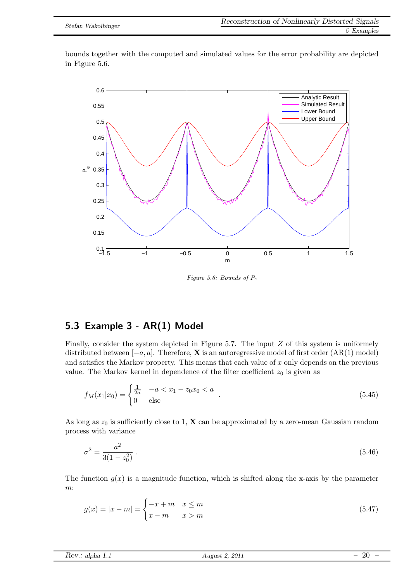bounds together with the computed and simulated values for the error probability are depicted in Figure [5.6.](#page-19-1)



<span id="page-19-2"></span><span id="page-19-1"></span>*Figure 5.6: Bounds of* P<sup>e</sup>

### <span id="page-19-0"></span>5.3 Example 3 - AR(1) Model

Finally, consider the system depicted in Figure [5.7.](#page-20-0) The input  $Z$  of this system is uniformely distributed between  $[-a, a]$ . Therefore, **X** is an autoregressive model of first order  $(AR(1) \text{ model})$ and satisfies the Markov property. This means that each value of  $x$  only depends on the previous value. The Markov kernel in dependence of the filter coefficient  $z_0$  is given as

$$
f_M(x_1|x_0) = \begin{cases} \frac{1}{2a} & -a < x_1 - z_0 x_0 < a \\ 0 & \text{else} \end{cases} . \tag{5.45}
$$

As long as  $z_0$  is sufficiently close to 1, **X** can be approximated by a zero-mean Gaussian random process with variance

<span id="page-19-3"></span>
$$
\sigma^2 = \frac{a^2}{3(1 - z_0^2)} \tag{5.46}
$$

The function  $g(x)$  is a magnitude function, which is shifted along the x-axis by the parameter m:

$$
g(x) = |x - m| = \begin{cases} -x + m & x \le m \\ x - m & x > m \end{cases}
$$
\n
$$
(5.47)
$$

| $2011\,$<br>Rev.:<br>August<br>alpha<br>$\overline{\phantom{a}}$<br><b>***</b> | ഫ<br>$\sim$<br>__ | $\overline{\phantom{a}}$ |
|--------------------------------------------------------------------------------|-------------------|--------------------------|
|--------------------------------------------------------------------------------|-------------------|--------------------------|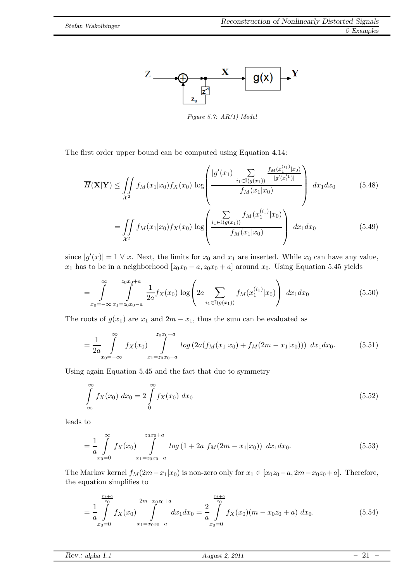

<span id="page-20-0"></span>*Figure 5.7: AR(1) Model*

The first order upper bound can be computed using Equation [4.14:](#page-9-2)

$$
\overline{H}(\mathbf{X}|\mathbf{Y}) \leq \iint_{\mathcal{X}^2} f_M(x_1|x_0) f_X(x_0) \log \left( \frac{|g'(x_1)| \sum_{i_1 \in \mathbb{I}(g(x_1))} \frac{f_M(x_1^{(i_1)}|x_0)}{|g'(x_1^{i_1})|}}{f_M(x_1|x_0)} \right) dx_1 dx_0 \qquad (5.48)
$$
\n
$$
= \iint_{\mathcal{X}^2} f_M(x_1|x_0) f_X(x_0) \log \left( \frac{\sum_{i_1 \in \mathbb{I}(g(x_1))} f_M(x_1^{(i_1)}|x_0)}{f_M(x_1|x_0)} \right) dx_1 dx_0 \qquad (5.49)
$$

since  $|g'(x)| = 1 \forall x$ . Next, the limits for  $x_0$  and  $x_1$  are inserted. While  $x_0$  can have any value,  $x_1$  has to be in a neighborhood  $[z_0x_0 - a, z_0x_0 + a]$  around  $x_0$ . Using Equation [5.45](#page-19-2) yields

$$
= \int_{x_0=-\infty}^{\infty} \int_{x_1=x_0x_0-a}^{z_0x_0+a} \frac{1}{2a} f_X(x_0) \log \left(2a \sum_{i_1 \in \mathbb{I}(g(x_1))} f_M(x_1^{(i_1)}|x_0)\right) dx_1 dx_0 \tag{5.50}
$$

The roots of  $g(x_1)$  are  $x_1$  and  $2m - x_1$ , thus the sum can be evaluated as

$$
= \frac{1}{2a} \int_{x_0=-\infty}^{\infty} f_X(x_0) \int_{x_1=z_0x_0-a}^{z_0x_0+a} \log\left(2a(f_M(x_1|x_0) + f_M(2m - x_1|x_0))\right) dx_1 dx_0.
$$
 (5.51)

Using again Equation [5.45](#page-19-2) and the fact that due to symmetry

$$
\int_{-\infty}^{\infty} f_X(x_0) \, dx_0 = 2 \int_{0}^{\infty} f_X(x_0) \, dx_0 \tag{5.52}
$$

leads to

$$
= \frac{1}{a} \int_{x_0=0}^{\infty} f_X(x_0) \int_{x_1=x_0x_0-a}^{x_0x_0+a} \log\left(1+2a \ f_M(2m-x_1|x_0)\right) \ dx_1 dx_0.
$$
 (5.53)

The Markov kernel  $f_M(2m-x_1|x_0)$  is non-zero only for  $x_1 \in [x_0z_0-a, 2m-x_0z_0+a]$ . Therefore, the equation simplifies to

$$
=\frac{1}{a}\int_{x_0=0}^{\frac{m+a}{z_0}} f_X(x_0) \int_{x_1=x_0z_0-a}^{2m-x_0z_0+a} dx_1 dx_0 = \frac{2}{a}\int_{x_0=0}^{\frac{m+a}{z_0}} f_X(x_0)(m-x_0z_0+a) dx_0.
$$
 (5.54)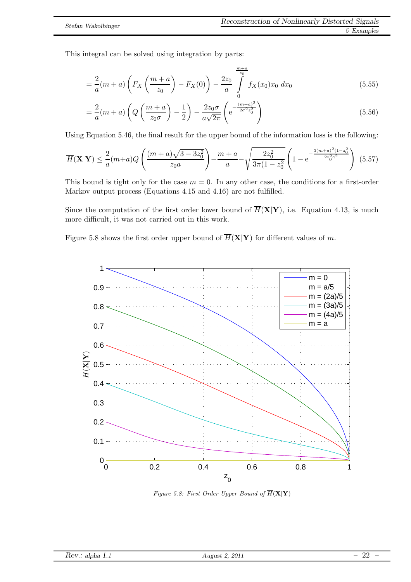This integral can be solved using integration by parts:

$$
= \frac{2}{a}(m+a)\left(F_X\left(\frac{m+a}{z_0}\right) - F_X(0)\right) - \frac{2z_0}{a} \int\limits_{0}^{\frac{m+a}{z_0}} f_X(x_0)x_0 dx_0 \tag{5.55}
$$

$$
=\frac{2}{a}(m+a)\left(Q\left(\frac{m+a}{z_0\sigma}\right)-\frac{1}{2}\right)-\frac{2z_0\sigma}{a\sqrt{2\pi}}\left(e^{-\frac{(m+a)^2}{2\sigma^2z_0^2}}\right)
$$
(5.56)

Using Equation [5.46,](#page-19-3) the final result for the upper bound of the information loss is the following:

$$
\overline{H}(\mathbf{X}|\mathbf{Y}) \le \frac{2}{a}(m+a)Q\left(\frac{(m+a)\sqrt{3-3z_0^2}}{z_0a}\right) - \frac{m+a}{a} - \sqrt{\frac{2z_0^2}{3\pi(1-z_0^2)}}\left(1 - e^{-\frac{3(m+a)^2(1-z_0^2)}{2z_0^2a^2}}\right) (5.57)
$$

This bound is tight only for the case  $m = 0$ . In any other case, the conditions for a first-order Markov output process (Equations [4.15](#page-9-3) and [4.16\)](#page-9-4) are not fulfilled.

Since the computation of the first order lower bound of  $\overline{H}(\mathbf{X}|\mathbf{Y})$ , i.e. Equation [4.13,](#page-9-5) is much more difficult, it was not carried out in this work.

Figure [5.8](#page-21-0) shows the first order upper bound of  $\overline{H}(\mathbf{X}|\mathbf{Y})$  for different values of m.



<span id="page-21-0"></span>*Figure 5.8: First Order Upper Bound of*  $\overline{H}(\mathbf{X}|\mathbf{Y})$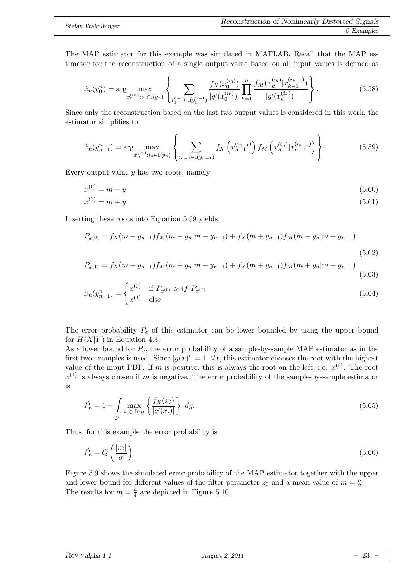The MAP estimator for this example was simulated in MATLAB. Recall that the MAP estimator for the reconstruction of a single output value based on all input values is defined as

$$
\hat{x}_n(y_0^n) = \arg\max_{x_n^{(i_n)}: i_n \in \mathbb{I}(y_n)} \left\{ \sum_{i_0^{n-1} \in \mathbb{I}(y_0^{n-1})} \frac{f_X(x_0^{(i_0)})}{|g'(x_0^{(i_0)})|} \prod_{k=1}^n \frac{f_M(x_k^{(i_k)}|x_{k-1}^{(i_{k-1})})}{|g'(x_k^{(i_k)})|} \right\}.
$$
\n(5.58)

Since only the reconstruction based on the last two output values is considered in this work, the estimator simplifies to

<span id="page-22-0"></span>
$$
\hat{x}_n(y_{n-1}^n) = \arg\max_{x_n^{(i_n)}: i_n \in \mathbb{I}(y_n)} \left\{ \sum_{i_{n-1} \in \mathbb{I}(y_{n-1})} f_X\left(x_{n-1}^{(i_{n-1})}\right) f_M\left(x_n^{(i_n)} | x_{n-1}^{(i_{n-1})}\right) \right\}.
$$
\n(5.59)

Every output value  $\gamma$  has two roots, namely

$$
x^{(0)} = m - y \tag{5.60}
$$

$$
x^{(1)} = m + y \tag{5.61}
$$

Inserting these roots into Equation [5.59](#page-22-0) yields

$$
P_{x^{(0)}} = f_X(m - y_{n-1})f_M(m - y_n|m - y_{n-1}) + f_X(m + y_{n-1})f_M(m - y_n|m + y_{n-1})
$$
\n(5.62)

$$
P_{x^{(1)}} = f_X(m - y_{n-1})f_M(m + y_n|m - y_{n-1}) + f_X(m + y_{n-1})f_M(m + y_n|m + y_{n-1})
$$
\n(5.63)

$$
\hat{x}_n(y_{n-1}^n) = \begin{cases}\nx^{(0)} & \text{if } P_{x^{(0)}} > if \ P_{x^{(1)}} \\
x^{(1)} & \text{else}\n\end{cases} \tag{5.64}
$$

The error probability  $P_e$  of this estimator can be lower bounded by using the upper bound for  $H(X|Y)$  in Equation [4.3.](#page-8-6)

As a lower bound for  $P_e$ , the error probability of a sample-by-sample MAP estimator as in the first two examples is used. Since  $|g(x)'|=1$   $\forall x$ , this estimator chooses the root with the highest value of the input PDF. If m is positive, this is always the root on the left, i.e.  $x^{(0)}$ . The root  $x^{(1)}$  is always chosen if m is negative. The error probability of the sample-by-sample estimator is

$$
\tilde{P}_e = 1 - \int\limits_{\mathcal{Y}} \max_{i \in \mathbb{I}(y)} \left\{ \frac{f_X(x_i)}{|g'(x_i)|} \right\} dy.
$$
\n(5.65)

Thus, for this example the error probability is

$$
\tilde{P}_e = Q\left(\frac{|m|}{\sigma}\right). \tag{5.66}
$$

Figure [5.9](#page-23-0) shows the simulated error probability of the MAP estimator together with the upper and lower bound for different values of the filter parameter  $z_0$  and a mean value of  $m = \frac{a}{2}$  $\frac{a}{2}$ . The results for  $m = \frac{a}{4}$  $\frac{a}{4}$  are depicted in Figure [5.10.](#page-23-1)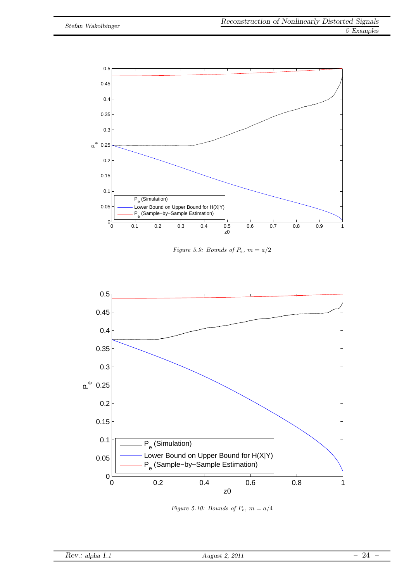

<span id="page-23-0"></span>*Figure 5.9: Bounds of*  $P_e$ ,  $m = a/2$ 



<span id="page-23-1"></span>*Figure 5.10: Bounds of* Pe*,* m = a/4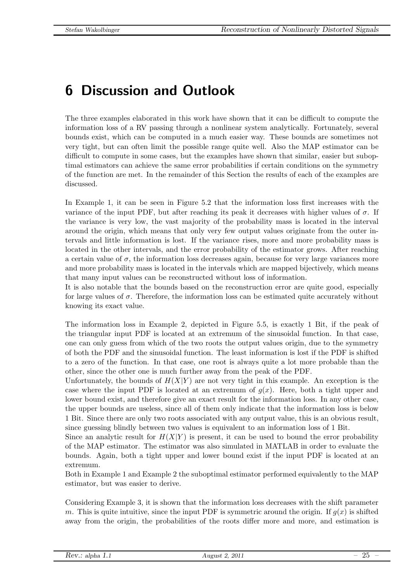# <span id="page-24-0"></span>6 Discussion and Outlook

The three examples elaborated in this work have shown that it can be difficult to compute the information loss of a RV passing through a nonlinear system analytically. Fortunately, several bounds exist, which can be computed in a much easier way. These bounds are sometimes not very tight, but can often limit the possible range quite well. Also the MAP estimator can be difficult to compute in some cases, but the examples have shown that similar, easier but suboptimal estimators can achieve the same error probabilities if certain conditions on the symmetry of the function are met. In the remainder of this Section the results of each of the examples are discussed.

In Example 1, it can be seen in Figure [5.2](#page-14-0) that the information loss first increases with the variance of the input PDF, but after reaching its peak it decreases with higher values of  $\sigma$ . If the variance is very low, the vast majority of the probability mass is located in the interval around the origin, which means that only very few output values originate from the outer intervals and little information is lost. If the variance rises, more and more probability mass is located in the other intervals, and the error probability of the estimator grows. After reaching a certain value of  $\sigma$ , the information loss decreases again, because for very large variances more and more probability mass is located in the intervals which are mapped bijectively, which means that many input values can be reconstructed without loss of information.

It is also notable that the bounds based on the reconstruction error are quite good, especially for large values of  $\sigma$ . Therefore, the information loss can be estimated quite accurately without knowing its exact value.

The information loss in Example 2, depicted in Figure [5.5,](#page-18-1) is exactly 1 Bit, if the peak of the triangular input PDF is located at an extremum of the sinusoidal function. In that case, one can only guess from which of the two roots the output values origin, due to the symmetry of both the PDF and the sinusoidal function. The least information is lost if the PDF is shifted to a zero of the function. In that case, one root is always quite a lot more probable than the other, since the other one is much further away from the peak of the PDF.

Unfortunately, the bounds of  $H(X|Y)$  are not very tight in this example. An exception is the case where the input PDF is located at an extremum of  $g(x)$ . Here, both a tight upper and lower bound exist, and therefore give an exact result for the information loss. In any other case, the upper bounds are useless, since all of them only indicate that the information loss is below 1 Bit. Since there are only two roots associated with any output value, this is an obvious result, since guessing blindly between two values is equivalent to an information loss of 1 Bit.

Since an analytic result for  $H(X|Y)$  is present, it can be used to bound the error probability of the MAP estimator. The estimator was also simulated in MATLAB in order to evaluate the bounds. Again, both a tight upper and lower bound exist if the input PDF is located at an extremum.

Both in Example 1 and Example 2 the suboptimal estimator performed equivalently to the MAP estimator, but was easier to derive.

Considering Example 3, it is shown that the information loss decreases with the shift parameter m. This is quite intuitive, since the input PDF is symmetric around the origin. If  $g(x)$  is shifted away from the origin, the probabilities of the roots differ more and more, and estimation is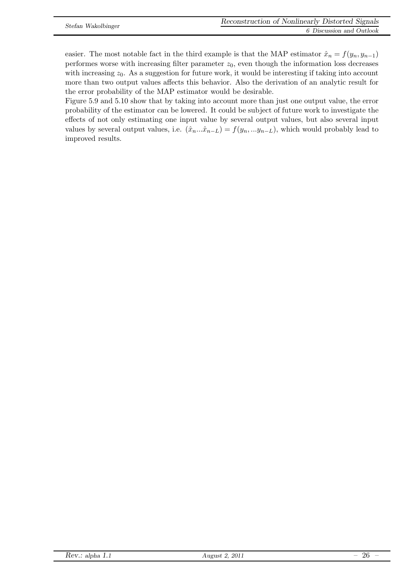easier. The most notable fact in the third example is that the MAP estimator  $\hat{x}_n = f(y_n, y_{n-1})$ performes worse with increasing filter parameter  $z_0$ , even though the information loss decreases with increasing  $z_0$ . As a suggestion for future work, it would be interesting if taking into account more than two output values affects this behavior. Also the derivation of an analytic result for the error probability of the MAP estimator would be desirable.

Figure [5.9](#page-23-0) and [5.10](#page-23-1) show that by taking into account more than just one output value, the error probability of the estimator can be lowered. It could be subject of future work to investigate the effects of not only estimating one input value by several output values, but also several input values by several output values, i.e.  $(\hat{x}_n...\hat{x}_{n-L}) = f(y_n,...y_{n-L})$ , which would probably lead to improved results.